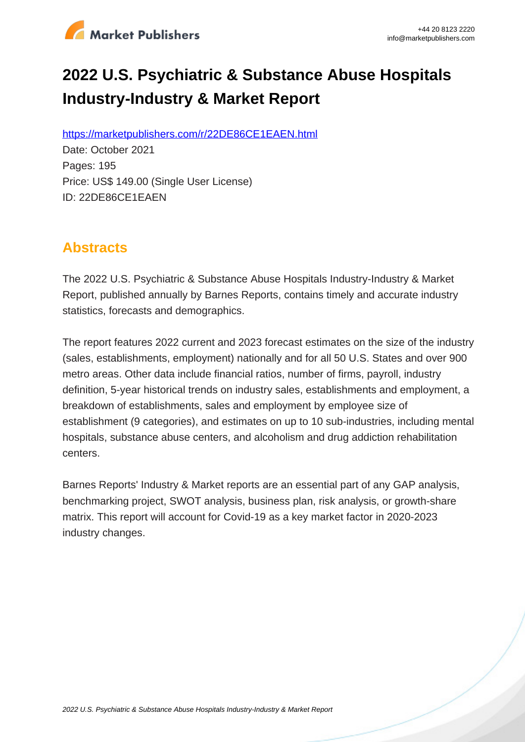

# **2022 U.S. Psychiatric & Substance Abuse Hospitals Industry-Industry & Market Report**

https://marketpublishers.com/r/22DE86CE1EAEN.html

Date: October 2021 Pages: 195 Price: US\$ 149.00 (Single User License) ID: 22DE86CE1EAEN

## **Abstracts**

The 2022 U.S. Psychiatric & Substance Abuse Hospitals Industry-Industry & Market Report, published annually by Barnes Reports, contains timely and accurate industry statistics, forecasts and demographics.

The report features 2022 current and 2023 forecast estimates on the size of the industry (sales, establishments, employment) nationally and for all 50 U.S. States and over 900 metro areas. Other data include financial ratios, number of firms, payroll, industry definition, 5-year historical trends on industry sales, establishments and employment, a breakdown of establishments, sales and employment by employee size of establishment (9 categories), and estimates on up to 10 sub-industries, including mental hospitals, substance abuse centers, and alcoholism and drug addiction rehabilitation centers.

Barnes Reports' Industry & Market reports are an essential part of any GAP analysis, benchmarking project, SWOT analysis, business plan, risk analysis, or growth-share matrix. This report will account for Covid-19 as a key market factor in 2020-2023 industry changes.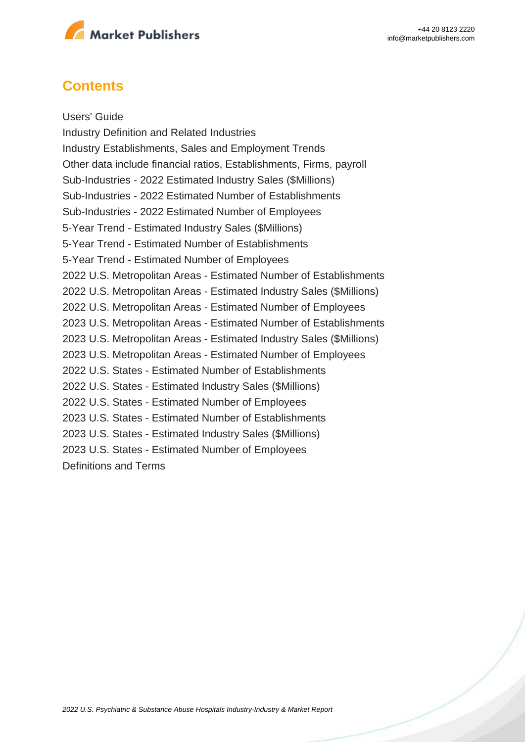

### **Contents**

Users' Guide Industry Definition and Related Industries Industry Establishments, Sales and Employment Trends Other data include financial ratios, Establishments, Firms, payroll Sub-Industries - 2022 Estimated Industry Sales (\$Millions) Sub-Industries - 2022 Estimated Number of Establishments Sub-Industries - 2022 Estimated Number of Employees 5-Year Trend - Estimated Industry Sales (\$Millions) 5-Year Trend - Estimated Number of Establishments 5-Year Trend - Estimated Number of Employees 2022 U.S. Metropolitan Areas - Estimated Number of Establishments 2022 U.S. Metropolitan Areas - Estimated Industry Sales (\$Millions) 2022 U.S. Metropolitan Areas - Estimated Number of Employees 2023 U.S. Metropolitan Areas - Estimated Number of Establishments 2023 U.S. Metropolitan Areas - Estimated Industry Sales (\$Millions) 2023 U.S. Metropolitan Areas - Estimated Number of Employees 2022 U.S. States - Estimated Number of Establishments 2022 U.S. States - Estimated Industry Sales (\$Millions) 2022 U.S. States - Estimated Number of Employees 2023 U.S. States - Estimated Number of Establishments 2023 U.S. States - Estimated Industry Sales (\$Millions) 2023 U.S. States - Estimated Number of Employees Definitions and Terms